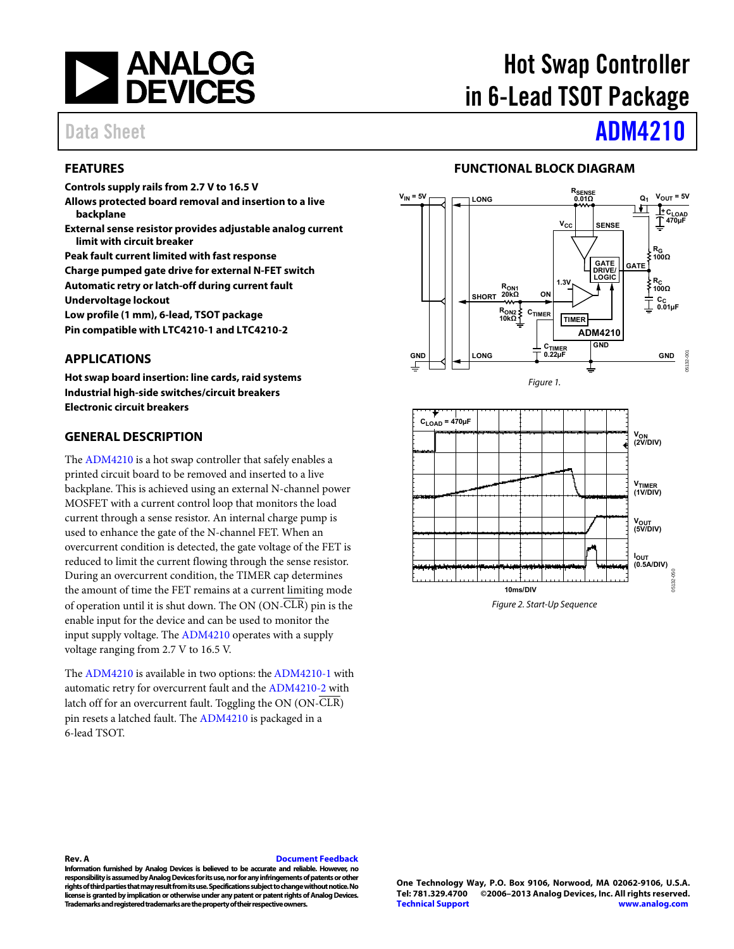

# Hot Swap Controller in 6-Lead TSOT Package

## Data Sheet **[ADM4210](http://www.analog.com/ADM4210?doc=ADM4210.pdf)**

### <span id="page-0-0"></span>**FEATURES**

**Controls supply rails from 2.7 V to 16.5 V** 

- **Allows protected board removal and insertion to a live backplane**
- **External sense resistor provides adjustable analog current limit with circuit breaker**

**Peak fault current limited with fast response Charge pumped gate drive for external N-FET switch** 

**Automatic retry or latch-off during current fault** 

**Undervoltage lockout** 

**Low profile (1 mm), 6-lead, TSOT package** 

<span id="page-0-1"></span>**Pin compatible with LTC4210-1 and LTC4210-2** 

### **APPLICATIONS**

**Hot swap board insertion: line cards, raid systems Industrial high-side switches/circuit breakers Electronic circuit breakers** 

### <span id="page-0-2"></span>**GENERAL DESCRIPTION**

The [ADM4210](http://www.analog.com/ADM4210?doc=ADM4210.pdf) is a hot swap controller that safely enables a printed circuit board to be removed and inserted to a live backplane. This is achieved using an external N-channel power MOSFET with a current control loop that monitors the load current through a sense resistor. An internal charge pump is used to enhance the gate of the N-channel FET. When an overcurrent condition is detected, the gate voltage of the FET is reduced to limit the current flowing through the sense resistor. During an overcurrent condition, the TIMER cap determines the amount of time the FET remains at a current limiting mode of operation until it is shut down. The ON (ON-CLR) pin is the enable input for the device and can be used to monitor the input supply voltage. Th[e ADM4210 o](http://www.analog.com/ADM4210?doc=ADM4210.pdf)perates with a supply voltage ranging from 2.7 V to 16.5 V.

The [ADM4210](http://www.analog.com/ADM4210?doc=ADM4210.pdf) is available in two options: th[e ADM4210-1 w](http://www.analog.com/ADM4210?doc=ADM4210.pdf)ith automatic retry for overcurrent fault and th[e ADM4210-2 w](http://www.analog.com/ADM4210?doc=ADM4210.pdf)ith latch off for an overcurrent fault. Toggling the ON (ON-CLR) pin resets a latched fault. Th[e ADM4210 i](http://www.analog.com/ADM4210?doc=ADM4210.pdf)s packaged in a 6-lead TSOT.

### **FUNCTIONAL BLOCK DIAGRAM**

<span id="page-0-3"></span>



Figure 2. Start-Up Sequence

### **Rev. A [Document Feedback](https://form.analog.com/Form_Pages/feedback/documentfeedback.aspx?doc=ADM4210.pdf&product=ADM4210&rev=A)**

**Information furnished by Analog Devices is believed to be accurate and reliable. However, no responsibility is assumed by Analog Devices for its use, nor for any infringements of patents or other rights of third parties that may result from its use. Specifications subject to change without notice. No license is granted by implication or otherwise under any patent or patent rights of Analog Devices. Trademarks and registered trademarks are the property of their respective owners.**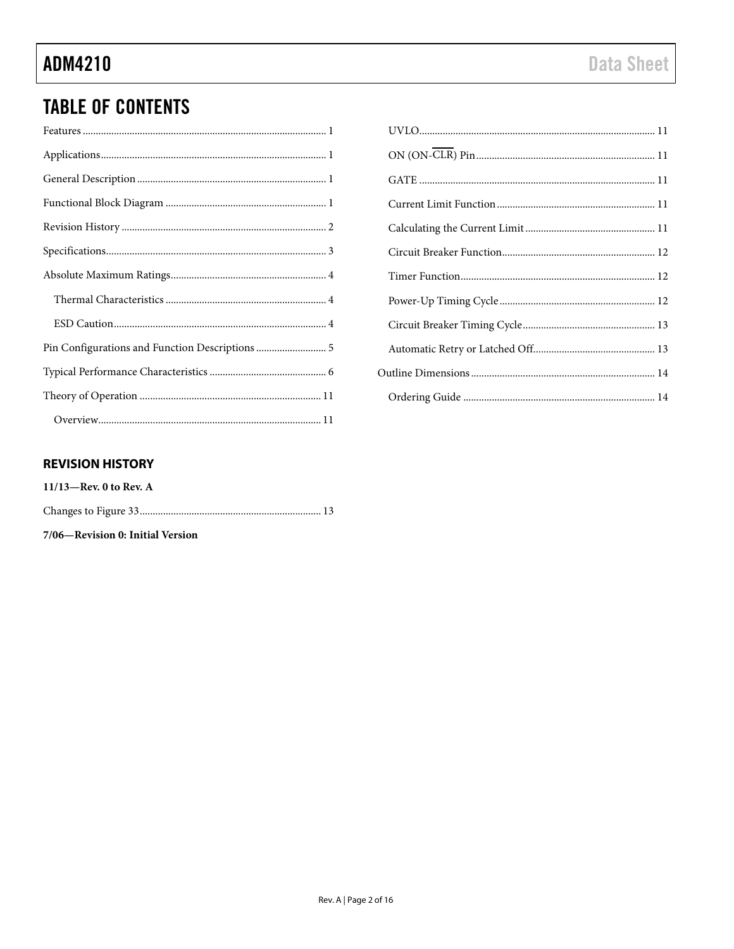## **TABLE OF CONTENTS**

| Pin Configurations and Function Descriptions  5 |
|-------------------------------------------------|
|                                                 |
|                                                 |
|                                                 |

| $\mathbf{1}$ |  |
|--------------|--|
| 1            |  |
| 1            |  |
| 1            |  |
| 2            |  |
| 3            |  |
| 4            |  |
| 4            |  |
| 4            |  |
| 5            |  |
| 6            |  |
| 1            |  |

### <span id="page-1-0"></span>**REVISION HISTORY**

| $11/13$ —Rev. 0 to Rev. A |  |
|---------------------------|--|
|                           |  |

7/06-Revision 0: Initial Version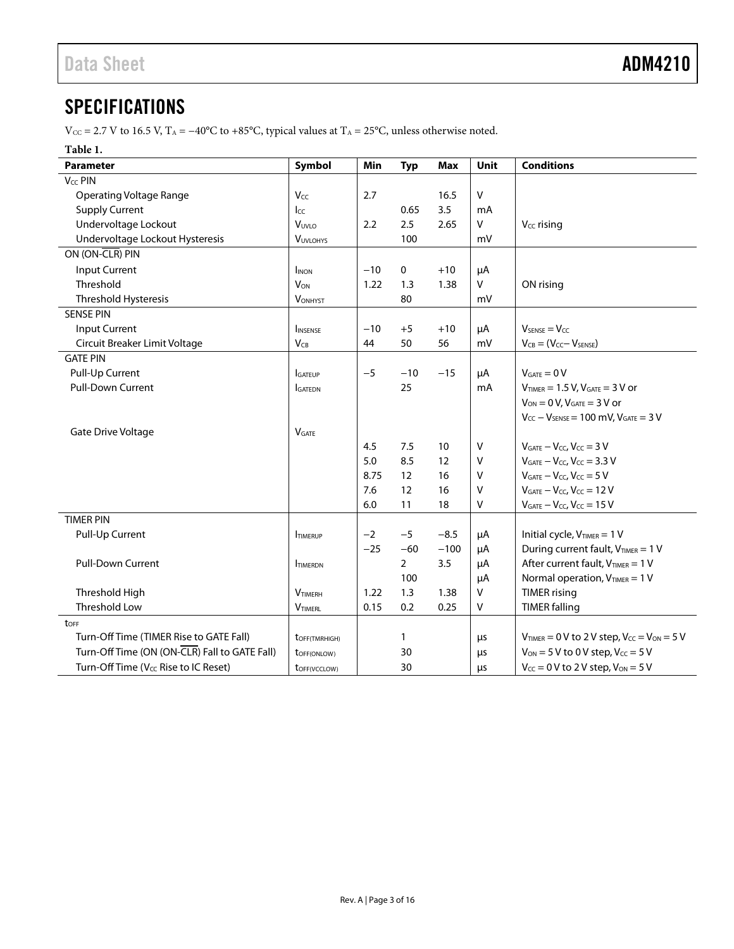## <span id="page-2-0"></span>**SPECIFICATIONS**

V<sub>CC</sub> = 2.7 V to 16.5 V, T<sub>A</sub> = −40°C to +85°C, typical values at T<sub>A</sub> = 25°C, unless otherwise noted.

### **Table 1.**

| <b>Parameter</b>                                 | Symbol                     | Min   | <b>Typ</b>     | <b>Max</b> | Unit         | <b>Conditions</b>                                      |
|--------------------------------------------------|----------------------------|-------|----------------|------------|--------------|--------------------------------------------------------|
| V <sub>CC</sub> PIN                              |                            |       |                |            |              |                                                        |
| <b>Operating Voltage Range</b>                   | Vcc                        | 2.7   |                | 16.5       | v            |                                                        |
| <b>Supply Current</b>                            | lcc                        |       | 0.65           | 3.5        | mA           |                                                        |
| Undervoltage Lockout                             | VUVLO                      | 2.2   | 2.5            | 2.65       | $\vee$       | $V_{CC}$ rising                                        |
| Undervoltage Lockout Hysteresis                  | <b>VUVLOHYS</b>            |       | 100            |            | mV           |                                                        |
| ON (ON-CLR) PIN                                  |                            |       |                |            |              |                                                        |
| <b>Input Current</b>                             | <b>I</b> INON              | $-10$ | 0              | $+10$      | μA           |                                                        |
| Threshold                                        | <b>V<sub>ON</sub></b>      | 1.22  | 1.3            | 1.38       | v            | ON rising                                              |
| Threshold Hysteresis                             | <b>VONHYST</b>             |       | 80             |            | mV           |                                                        |
| <b>SENSE PIN</b>                                 |                            |       |                |            |              |                                                        |
| Input Current                                    | INSENSE                    | $-10$ | $+5$           | $+10$      | μA           | $V_{\text{SENSE}} = V_{CC}$                            |
| Circuit Breaker Limit Voltage                    | $V_{CB}$                   | 44    | 50             | 56         | mV           | $V_{CB} = (V_{CC} - V_{SENSE})$                        |
| <b>GATE PIN</b>                                  |                            |       |                |            |              |                                                        |
| Pull-Up Current                                  | GATEUP                     | $-5$  | $-10$          | $-15$      | μA           | $V_{GATE} = 0 V$                                       |
| <b>Pull-Down Current</b>                         | <b>I</b> GATEDN            |       | 25             |            | mA           | $V_{TIMER} = 1.5 V, V_{GATE} = 3 V$ or                 |
|                                                  |                            |       |                |            |              | $V_{ON} = 0 V$ , $V_{GATE} = 3 V$ or                   |
|                                                  |                            |       |                |            |              | $V_{CC} - V_{SENSE} = 100$ mV, $V_{GATE} = 3$ V        |
| Gate Drive Voltage                               | <b>V</b> GATE              |       |                |            |              |                                                        |
|                                                  |                            | 4.5   | 7.5            | 10         | $\mathsf{V}$ | $V_{GATE} - V_{CC}$ , $V_{CC} = 3 V$                   |
|                                                  |                            | 5.0   | 8.5            | 12         | $\vee$       | $V_{GATE} - V_{CC}$ , $V_{CC} = 3.3$ V                 |
|                                                  |                            | 8.75  | 12             | 16         | $\vee$       | $V_{GATE} - V_{CC}$ , $V_{CC} = 5 V$                   |
|                                                  |                            | 7.6   | 12             | 16         | V            | $V_{GATE} - V_{CC}$ , $V_{CC} = 12 V$                  |
|                                                  |                            | 6.0   | 11             | 18         | v            | $V_{GATE} - V_{CC}$ , $V_{CC} = 15$ V                  |
| <b>TIMER PIN</b>                                 |                            |       |                |            |              |                                                        |
| Pull-Up Current                                  | <b>ITIMERUP</b>            | $-2$  | $-5$           | $-8.5$     | μA           | Initial cycle, $V_{TIMER} = 1 V$                       |
|                                                  |                            | $-25$ | $-60$          | $-100$     | μA           | During current fault, VTIMER = 1 V                     |
| <b>Pull-Down Current</b>                         | <b>ITIMERDN</b>            |       | $\overline{2}$ | 3.5        | μA           | After current fault, VTIMER = 1 V                      |
|                                                  |                            |       | 100            |            | μA           | Normal operation, $V_{TIMER} = 1 V$                    |
| Threshold High                                   | <b>VTIMERH</b>             | 1.22  | 1.3            | 1.38       | $\vee$       | <b>TIMER</b> rising                                    |
| <b>Threshold Low</b>                             | VTIMERL                    | 0.15  | 0.2            | 0.25       | v            | <b>TIMER falling</b>                                   |
| toff                                             |                            |       |                |            |              |                                                        |
| Turn-Off Time (TIMER Rise to GATE Fall)          | t <sub>OFF</sub> (TMRHIGH) |       | $\mathbf{1}$   |            | μs           | $V_{TIMER} = 0$ V to 2 V step, $V_{CC} = V_{ON} = 5$ V |
| Turn-Off Time (ON (ON-CLR) Fall to GATE Fall)    | toff(ONLOW)                |       | 30             |            | μs           | $V_{ON} = 5 V$ to 0 V step, $V_{CC} = 5 V$             |
| Turn-Off Time (V <sub>CC</sub> Rise to IC Reset) | toFF(VCCLOW)               |       | 30             |            | μs           | $V_{CC} = 0$ V to 2 V step, $V_{ON} = 5$ V             |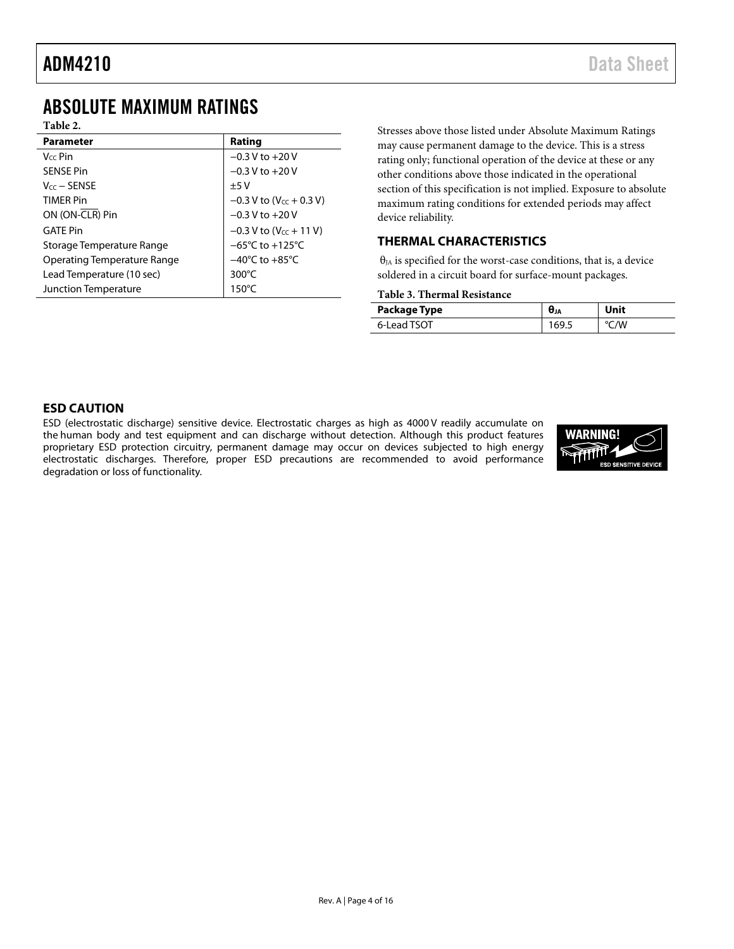## <span id="page-3-0"></span>ABSOLUTE MAXIMUM RATINGS

| ٠<br>п<br>Н |  |
|-------------|--|
|-------------|--|

| <b>Parameter</b>                   | Rating                                |
|------------------------------------|---------------------------------------|
| $V_{cc}$ Pin                       | $-0.3 V$ to $+20 V$                   |
| <b>SENSE Pin</b>                   | $-0.3$ V to $+20$ V                   |
| $V_{cc}$ – SENSE                   | ±5V                                   |
| <b>TIMFR Pin</b>                   | $-0.3$ V to (V <sub>CC</sub> + 0.3 V) |
| ON (ON-CLR) Pin                    | $-0.3$ V to $+20$ V                   |
| <b>GATE Pin</b>                    | $-0.3 V$ to (V <sub>CC</sub> + 11 V)  |
| Storage Temperature Range          | $-65^{\circ}$ C to $+125^{\circ}$ C   |
| <b>Operating Temperature Range</b> | $-40^{\circ}$ C to $+85^{\circ}$ C    |
| Lead Temperature (10 sec)          | 300 $\degree$ C                       |
| <b>Junction Temperature</b>        | $150^{\circ}$ C                       |
|                                    |                                       |

Stresses above those listed under Absolute Maximum Ratings may cause permanent damage to the device. This is a stress rating only; functional operation of the device at these or any other conditions above those indicated in the operational section of this specification is not implied. Exposure to absolute maximum rating conditions for extended periods may affect device reliability.

### <span id="page-3-1"></span>**THERMAL CHARACTERISTICS**

 $\theta_{JA}$  is specified for the worst-case conditions, that is, a device soldered in a circuit board for surface-mount packages.

### **Table 3. Thermal Resistance**

| Package Type | <b>UJA</b> | Unit |
|--------------|------------|------|
| 6-Lead TSOT  | 169.5      | /W   |

### <span id="page-3-2"></span>**ESD CAUTION**

ESD (electrostatic discharge) sensitive device. Electrostatic charges as high as 4000 V readily accumulate on the human body and test equipment and can discharge without detection. Although this product features proprietary ESD protection circuitry, permanent damage may occur on devices subjected to high energy electrostatic discharges. Therefore, proper ESD precautions are recommended to avoid performance degradation or loss of functionality.

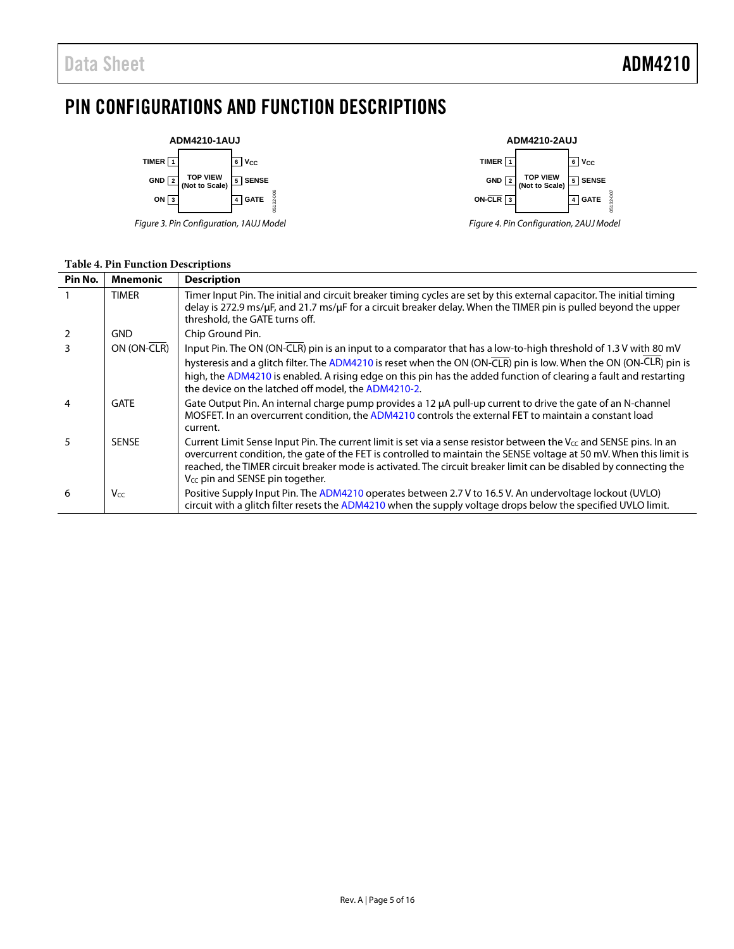## <span id="page-4-0"></span>PIN CONFIGURATIONS AND FUNCTION DESCRIPTIONS



*Figure 3. Pin Configuration, 1AUJ Model*



*Figure 4. Pin Configuration, 2AUJ Model*

### **Table 4. Pin Function Descriptions**

| Pin No.        | Mnemonic        | <b>Description</b>                                                                                                                                                                                                                                                                                                                                                                                                 |
|----------------|-----------------|--------------------------------------------------------------------------------------------------------------------------------------------------------------------------------------------------------------------------------------------------------------------------------------------------------------------------------------------------------------------------------------------------------------------|
|                | <b>TIMER</b>    | Timer Input Pin. The initial and circuit breaker timing cycles are set by this external capacitor. The initial timing<br>delay is 272.9 ms/µF, and 21.7 ms/µF for a circuit breaker delay. When the TIMER pin is pulled beyond the upper<br>threshold, the GATE turns off.                                                                                                                                         |
| $\overline{2}$ | <b>GND</b>      | Chip Ground Pin.                                                                                                                                                                                                                                                                                                                                                                                                   |
| 3              | ON (ON-CLR)     | Input Pin. The ON (ON-CLR) pin is an input to a comparator that has a low-to-high threshold of 1.3 V with 80 mV<br>hysteresis and a glitch filter. The ADM4210 is reset when the ON (ON-CLR) pin is low. When the ON (ON-CLR) pin is<br>high, the ADM4210 is enabled. A rising edge on this pin has the added function of clearing a fault and restarting<br>the device on the latched off model, the ADM4210-2.   |
| $\overline{4}$ | <b>GATE</b>     | Gate Output Pin. An internal charge pump provides a 12 µA pull-up current to drive the gate of an N-channel<br>MOSFET. In an overcurrent condition, the ADM4210 controls the external FET to maintain a constant load<br>current.                                                                                                                                                                                  |
| 5              | <b>SENSE</b>    | Current Limit Sense Input Pin. The current limit is set via a sense resistor between the $V_{cc}$ and SENSE pins. In an<br>overcurrent condition, the gate of the FET is controlled to maintain the SENSE voltage at 50 mV. When this limit is<br>reached, the TIMER circuit breaker mode is activated. The circuit breaker limit can be disabled by connecting the<br>V <sub>cc</sub> pin and SENSE pin together. |
| 6              | V <sub>CC</sub> | Positive Supply Input Pin. The ADM4210 operates between 2.7 V to 16.5 V. An undervoltage lockout (UVLO)<br>circuit with a glitch filter resets the ADM4210 when the supply voltage drops below the specified UVLO limit.                                                                                                                                                                                           |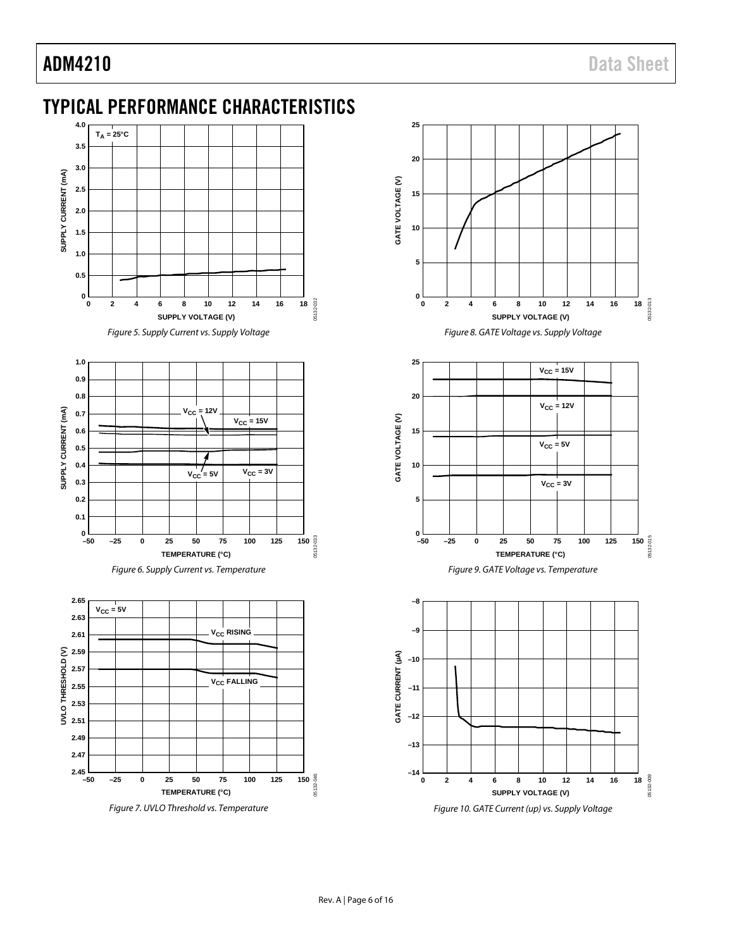## <span id="page-5-0"></span>TYPICAL PERFORMANCE CHARACTERISTICS



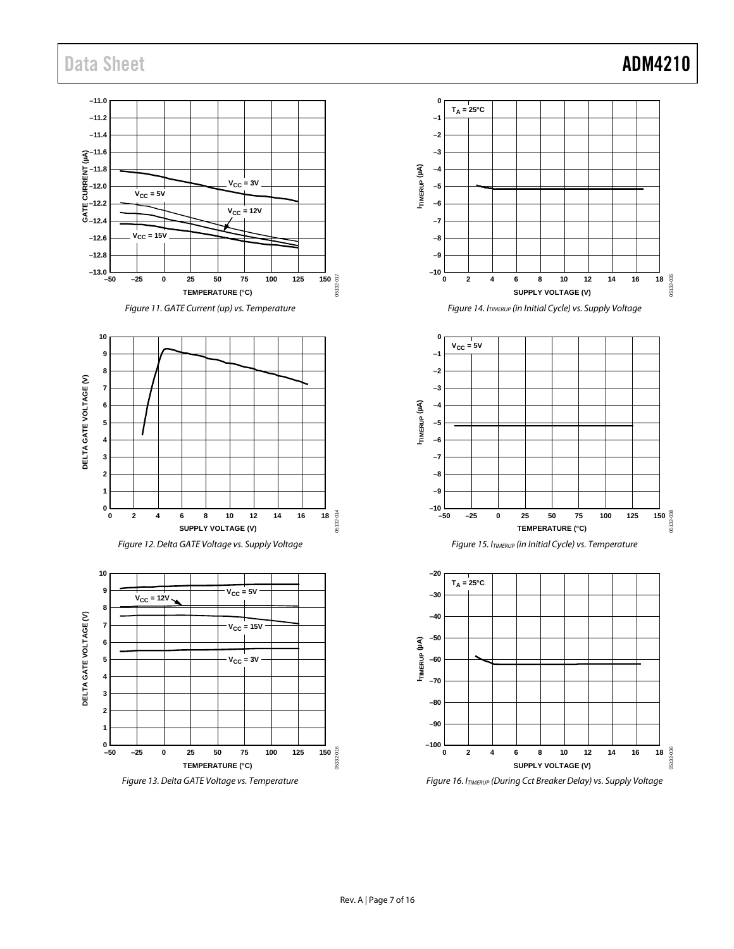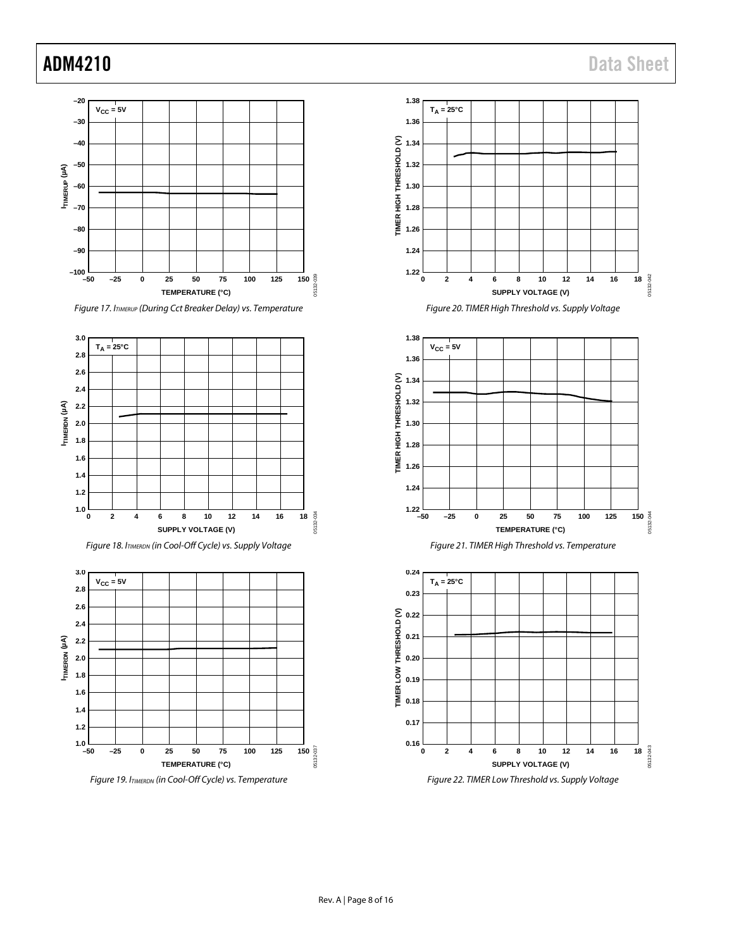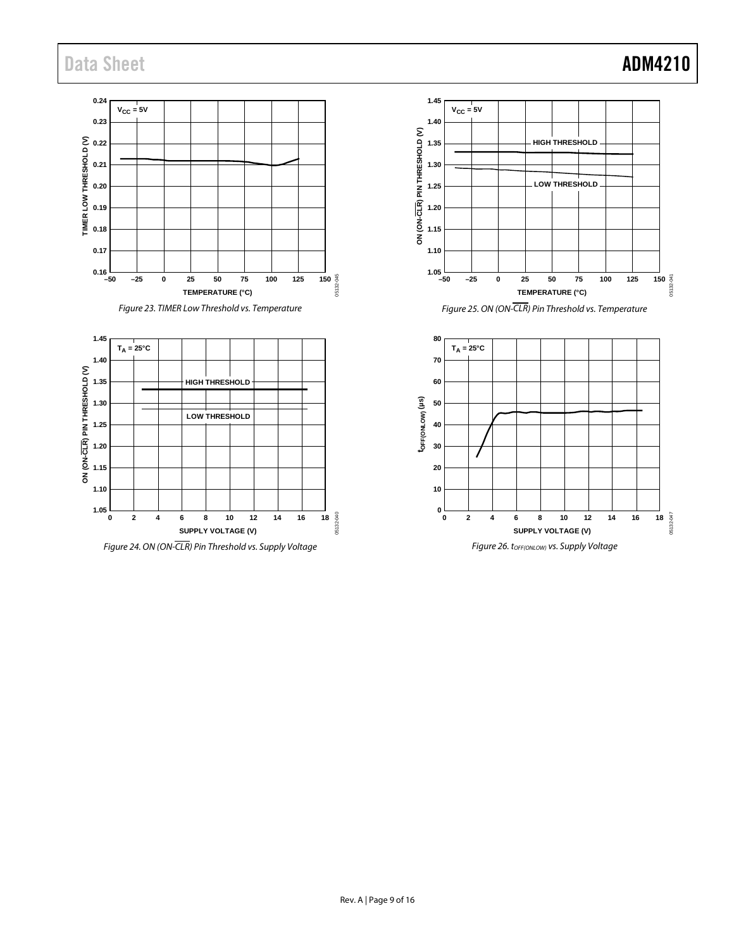## Data Sheet **ADM4210**

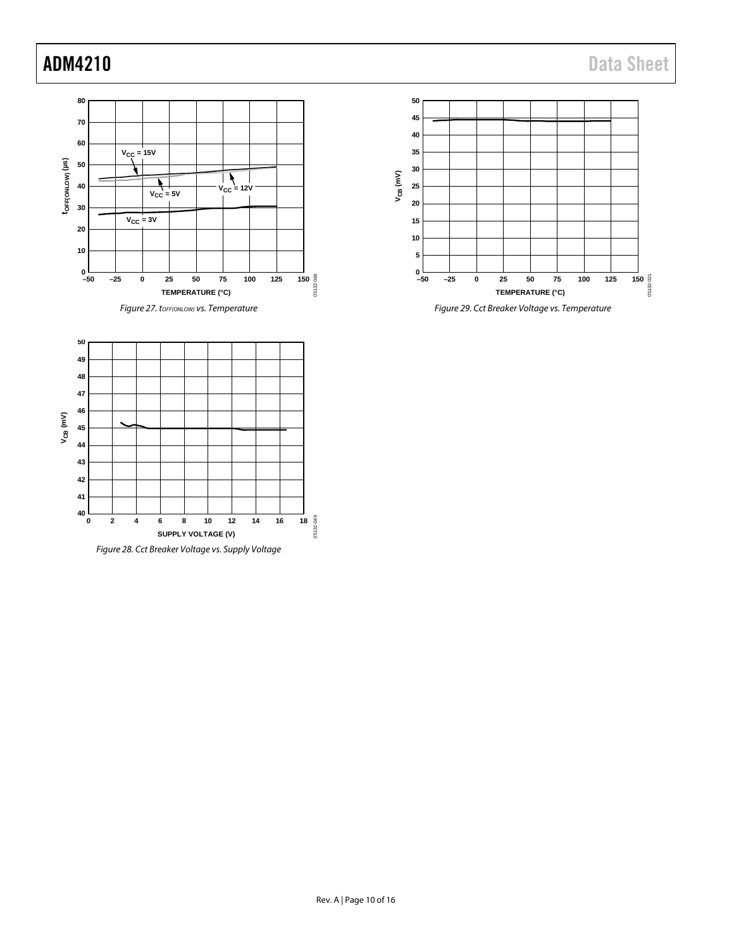



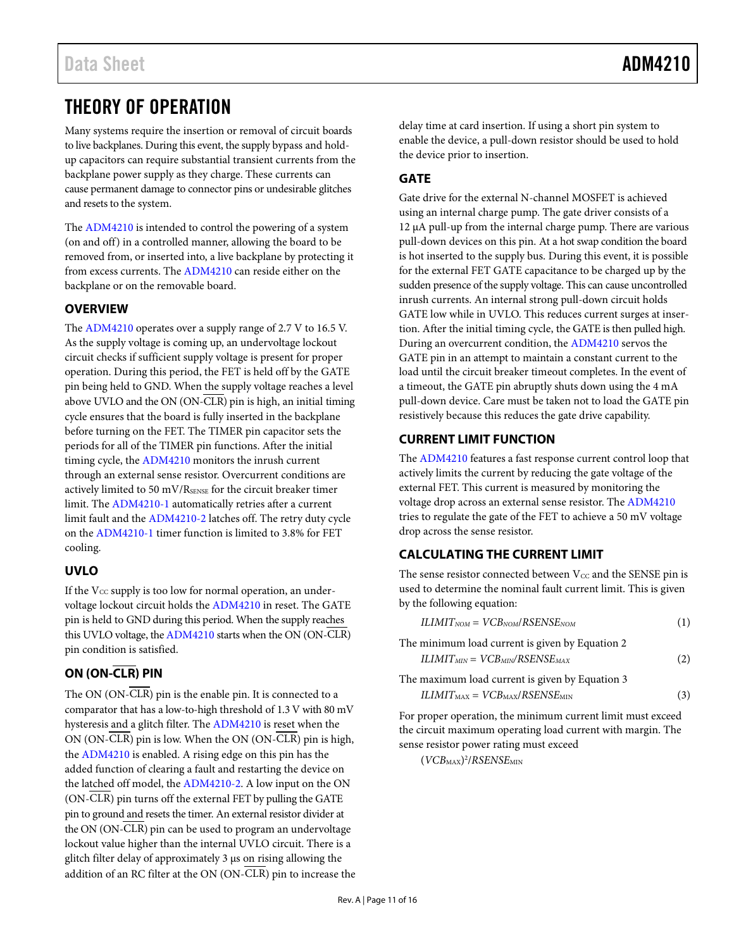## <span id="page-10-0"></span>THEORY OF OPERATION

Many systems require the insertion or removal of circuit boards to live backplanes. During this event, the supply bypass and holdup capacitors can require substantial transient currents from the backplane power supply as they charge. These currents can cause permanent damage to connector pins or undesirable glitches and resets to the system.

The [ADM4210](http://www.analog.com/ADM4210?doc=ADM4210.pdf) is intended to control the powering of a system (on and off) in a controlled manner, allowing the board to be removed from, or inserted into, a live backplane by protecting it from excess currents. Th[e ADM4210](http://www.analog.com/ADM4210?doc=ADM4210.pdf) can reside either on the backplane or on the removable board.

### <span id="page-10-1"></span>**OVERVIEW**

The [ADM4210](http://www.analog.com/ADM4210?doc=ADM4210.pdf) operates over a supply range of 2.7 V to 16.5 V. As the supply voltage is coming up, an undervoltage lockout circuit checks if sufficient supply voltage is present for proper operation. During this period, the FET is held off by the GATE pin being held to GND. When the supply voltage reaches a level above UVLO and the ON (ON-CLR) pin is high, an initial timing cycle ensures that the board is fully inserted in the backplane before turning on the FET. The TIMER pin capacitor sets the periods for all of the TIMER pin functions. After the initial timing cycle, the [ADM4210](http://www.analog.com/ADM4210?doc=ADM4210.pdf) monitors the inrush current through an external sense resistor. Overcurrent conditions are actively limited to 50 mV/RSENSE for the circuit breaker timer limit. Th[e ADM4210-1](http://www.analog.com/ADM4210?doc=ADM4210.pdf) automatically retries after a current limit fault and the [ADM4210-2](http://www.analog.com/ADM4210?doc=ADM4210.pdf) latches off. The retry duty cycle on the [ADM4210-1](http://www.analog.com/ADM4210?doc=ADM4210.pdf) timer function is limited to 3.8% for FET cooling.

### <span id="page-10-2"></span>**UVLO**

If the  $V_{CC}$  supply is too low for normal operation, an undervoltage lockout circuit holds th[e ADM4210](http://www.analog.com/ADM4210?doc=ADM4210.pdf) in reset. The GATE pin is held to GND during this period. When the supply reaches this UVLO voltage, the [ADM4210](http://www.analog.com/ADM4210?doc=ADM4210.pdf) starts when the ON (ON-CLR) pin condition is satisfied.

### <span id="page-10-3"></span>**ON (ON-CLR) PIN**

The ON (ON-CLR) pin is the enable pin. It is connected to a comparator that has a low-to-high threshold of 1.3 V with 80 mV hysteresis and a glitch filter. Th[e ADM4210](http://www.analog.com/ADM4210?doc=ADM4210.pdf) is reset when the ON (ON- $\overline{CLR}$ ) pin is low. When the ON (ON- $\overline{CLR}$ ) pin is high, the [ADM4210](http://www.analog.com/ADM4210?doc=ADM4210.pdf) is enabled. A rising edge on this pin has the added function of clearing a fault and restarting the device on the latched off model, the [ADM4210-2.](http://www.analog.com/ADM4210?doc=ADM4210.pdf) A low input on the ON (ON-CLR) pin turns off the external FET by pulling the GATE pin to ground and resets the timer. An external resistor divider at the ON (ON-CLR) pin can be used to program an undervoltage lockout value higher than the internal UVLO circuit. There is a glitch filter delay of approximately 3 μs on rising allowing the addition of an RC filter at the ON (ON-CLR) pin to increase the delay time at card insertion. If using a short pin system to enable the device, a pull-down resistor should be used to hold the device prior to insertion.

### <span id="page-10-4"></span>**GATE**

Gate drive for the external N-channel MOSFET is achieved using an internal charge pump. The gate driver consists of a 12 μA pull-up from the internal charge pump. There are various pull-down devices on this pin. At a hot swap condition the board is hot inserted to the supply bus. During this event, it is possible for the external FET GATE capacitance to be charged up by the sudden presence of the supply voltage. This can cause uncontrolled inrush currents. An internal strong pull-down circuit holds GATE low while in UVLO. This reduces current surges at insertion. After the initial timing cycle, the GATE is then pulled high. During an overcurrent condition, th[e ADM4210](http://www.analog.com/ADM4210?doc=ADM4210.pdf) servos the GATE pin in an attempt to maintain a constant current to the load until the circuit breaker timeout completes. In the event of a timeout, the GATE pin abruptly shuts down using the 4 mA pull-down device. Care must be taken not to load the GATE pin resistively because this reduces the gate drive capability.

### <span id="page-10-5"></span>**CURRENT LIMIT FUNCTION**

The [ADM4210](http://www.analog.com/ADM4210?doc=ADM4210.pdf) features a fast response current control loop that actively limits the current by reducing the gate voltage of the external FET. This current is measured by monitoring the voltage drop across an external sense resistor. Th[e ADM4210](http://www.analog.com/ADM4210?doc=ADM4210.pdf) tries to regulate the gate of the FET to achieve a 50 mV voltage drop across the sense resistor.

### <span id="page-10-6"></span>**CALCULATING THE CURRENT LIMIT**

The sense resistor connected between  $V_{CC}$  and the SENSE pin is used to determine the nominal fault current limit. This is given by the following equation:

| The minimum load current is given by Equation 2 |     |
|-------------------------------------------------|-----|
| $ILIMIT_{MIN} = VCB_{MIN}/RSENSE_{MAX}$         | (2) |

The maximum load current is given by Equation 3  $ILIMIT<sub>MAX</sub> = VCB<sub>MAX</sub>/RSENSE<sub>MIN</sub>$  (3)

For proper operation, the minimum current limit must exceed the circuit maximum operating load current with margin. The sense resistor power rating must exceed

<span id="page-10-7"></span>(*VCB*MAX) 2 /*RSENSE*MIN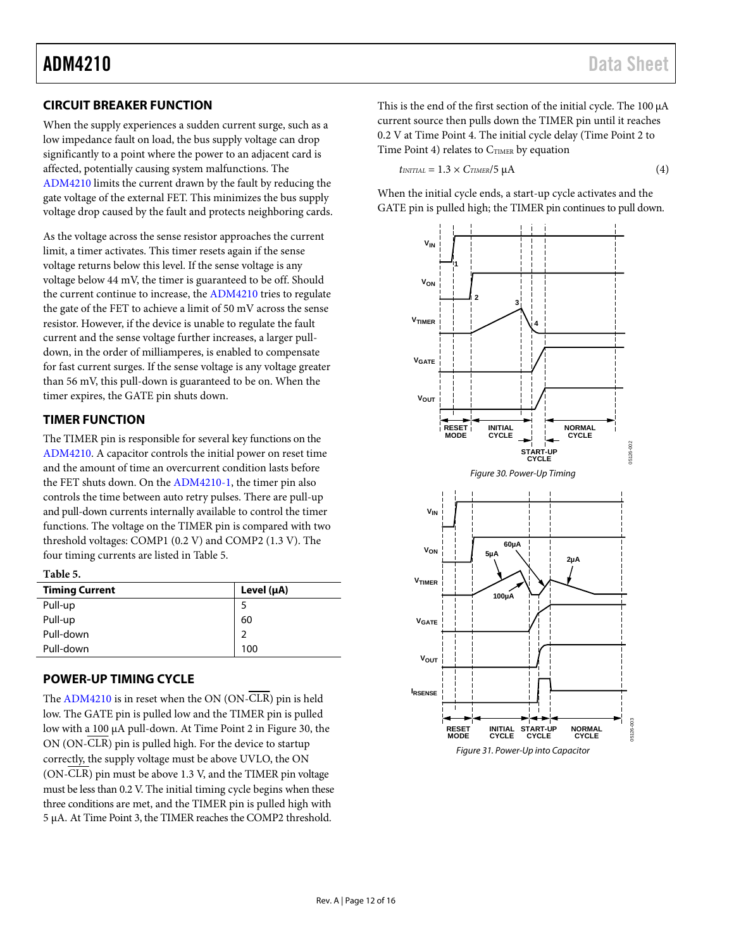### **CIRCUIT BREAKER FUNCTION**

When the supply experiences a sudden current surge, such as a low impedance fault on load, the bus supply voltage can drop significantly to a point where the power to an adjacent card is affected, potentially causing system malfunctions. The [ADM4210](http://www.analog.com/ADM4210?doc=ADM4210.pdf) limits the current drawn by the fault by reducing the gate voltage of the external FET. This minimizes the bus supply voltage drop caused by the fault and protects neighboring cards.

As the voltage across the sense resistor approaches the current limit, a timer activates. This timer resets again if the sense voltage returns below this level. If the sense voltage is any voltage below 44 mV, the timer is guaranteed to be off. Should the current continue to increase, the [ADM4210 t](http://www.analog.com/ADM4210?doc=ADM4210.pdf)ries to regulate the gate of the FET to achieve a limit of 50 mV across the sense resistor. However, if the device is unable to regulate the fault current and the sense voltage further increases, a larger pulldown, in the order of milliamperes, is enabled to compensate for fast current surges. If the sense voltage is any voltage greater than 56 mV, this pull-down is guaranteed to be on. When the timer expires, the GATE pin shuts down.

### <span id="page-11-0"></span>**TIMER FUNCTION**

The TIMER pin is responsible for several key functions on the [ADM4210.](http://www.analog.com/ADM4210?doc=ADM4210.pdf) A capacitor controls the initial power on reset time and the amount of time an overcurrent condition lasts before the FET shuts down. On the [ADM4210-1,](http://www.analog.com/ADM4210?doc=ADM4210.pdf) the timer pin also controls the time between auto retry pulses. There are pull-up and pull-down currents internally available to control the timer functions. The voltage on the TIMER pin is compared with two threshold voltages: COMP1 (0.2 V) and COMP2 (1.3 V). The four timing currents are listed i[n Table 5.](#page-11-2) 

### <span id="page-11-2"></span>**Table 5.**

| <b>Timing Current</b> | Level $(\mu A)$ |
|-----------------------|-----------------|
| Pull-up               |                 |
| Pull-up               | 60              |
| Pull-down             | 2               |
| Pull-down             | 100             |

### <span id="page-11-1"></span>**POWER-UP TIMING CYCLE**

<span id="page-11-4"></span>The [ADM4210](http://www.analog.com/ADM4210?doc=ADM4210.pdf) is in reset when the ON (ON-CLR) pin is held low. The GATE pin is pulled low and the TIMER pin is pulled low with a 100 μA pull-down. At Time Point 2 in [Figure 30,](#page-11-3) the ON (ON-CLR) pin is pulled high. For the device to startup correctly, the supply voltage must be above UVLO, the ON (ON-CLR) pin must be above 1.3 V, and the TIMER pin voltage must be less than 0.2 V. The initial timing cycle begins when these three conditions are met, and the TIMER pin is pulled high with 5 μA. At Time Point 3, the TIMER reaches the COMP2 threshold.

This is the end of the first section of the initial cycle. The 100 μA current source then pulls down the TIMER pin until it reaches 0.2 V at Time Point 4. The initial cycle delay (Time Point 2 to Time Point 4) relates to  $C_{TIME}$  by equation

$$
t_{INITIAL} = 1.3 \times C_{TIMER}/5 \mu A \tag{4}
$$

When the initial cycle ends, a start-up cycle activates and the GATE pin is pulled high; the TIMER pin continues to pull down.

<span id="page-11-3"></span>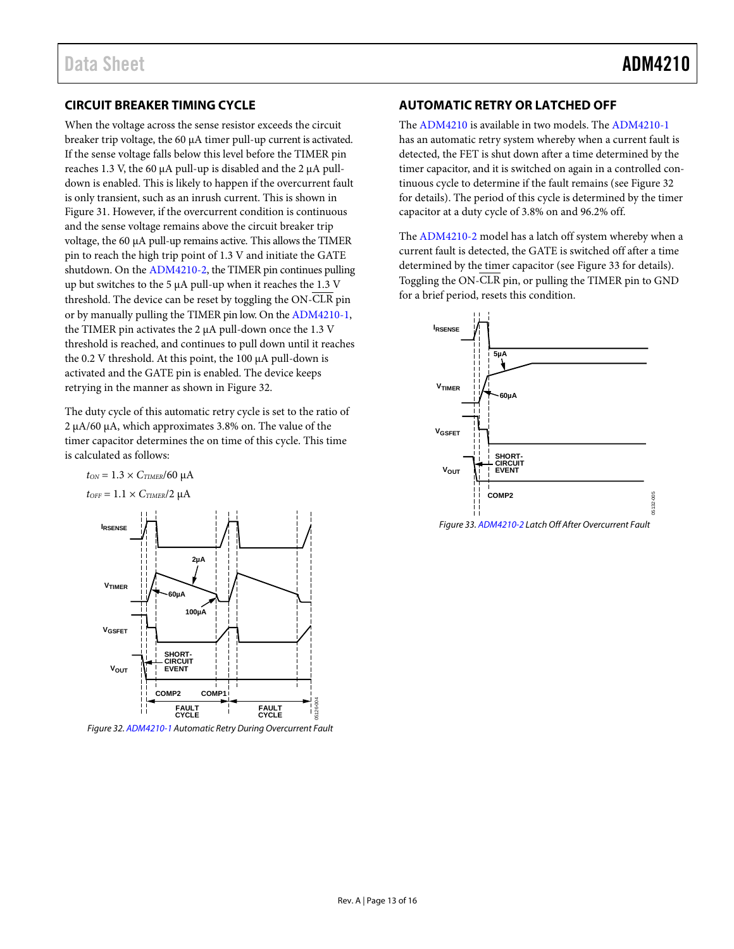### **CIRCUIT BREAKER TIMING CYCLE**

When the voltage across the sense resistor exceeds the circuit breaker trip voltage, the 60 μA timer pull-up current is activated. If the sense voltage falls below this level before the TIMER pin reaches 1.3 V, the 60 μA pull-up is disabled and the 2 μA pulldown is enabled. This is likely to happen if the overcurrent fault is only transient, such as an inrush current. This is shown in [Figure 31.](#page-11-4) However, if the overcurrent condition is continuous and the sense voltage remains above the circuit breaker trip voltage, the 60 μA pull-up remains active. This allows the TIMER pin to reach the high trip point of 1.3 V and initiate the GATE shutdown. On th[e ADM4210-2,](http://www.analog.com/ADM4210?doc=ADM4210.pdf) the TIMER pin continues pulling up but switches to the 5 μA pull-up when it reaches the 1.3 V threshold. The device can be reset by toggling the ON-CLR pin or by manually pulling the TIMER pin low. On th[e ADM4210-1,](http://www.analog.com/ADM4210?doc=ADM4210.pdf)  the TIMER pin activates the 2 μA pull-down once the 1.3 V threshold is reached, and continues to pull down until it reaches the 0.2 V threshold. At this point, the 100 μA pull-down is activated and the GATE pin is enabled. The device keeps retrying in the manner as shown i[n Figure 32.](#page-12-1)

The duty cycle of this automatic retry cycle is set to the ratio of 2 μA/60 μA, which approximates 3.8% on. The value of the timer capacitor determines the on time of this cycle. This time is calculated as follows:





<span id="page-12-1"></span>Figure 32[. ADM4210-1 A](http://www.analog.com/ADM4210?doc=ADM4210.pdf)utomatic Retry During Overcurrent Fault

### <span id="page-12-0"></span>**AUTOMATIC RETRY OR LATCHED OFF**

The [ADM4210](http://www.analog.com/ADM4210?doc=ADM4210.pdf) is available in two models. Th[e ADM4210-1](http://www.analog.com/ADM4210?doc=ADM4210.pdf) has an automatic retry system whereby when a current fault is detected, the FET is shut down after a time determined by the timer capacitor, and it is switched on again in a controlled continuous cycle to determine if the fault remains (se[e Figure 32](#page-12-1)  for details). The period of this cycle is determined by the timer capacitor at a duty cycle of 3.8% on and 96.2% off.

The [ADM4210-2](http://www.analog.com/ADM4210?doc=ADM4210.pdf) model has a latch off system whereby when a current fault is detected, the GATE is switched off after a time determined by the timer capacitor (se[e Figure 33](#page-12-2) for details). Toggling the ON-CLR pin, or pulling the TIMER pin to GND for a brief period, resets this condition.



<span id="page-12-2"></span>Figure 33[. ADM4210-2 L](http://www.analog.com/ADM4210?doc=ADM4210.pdf)atch Off After Overcurrent Fault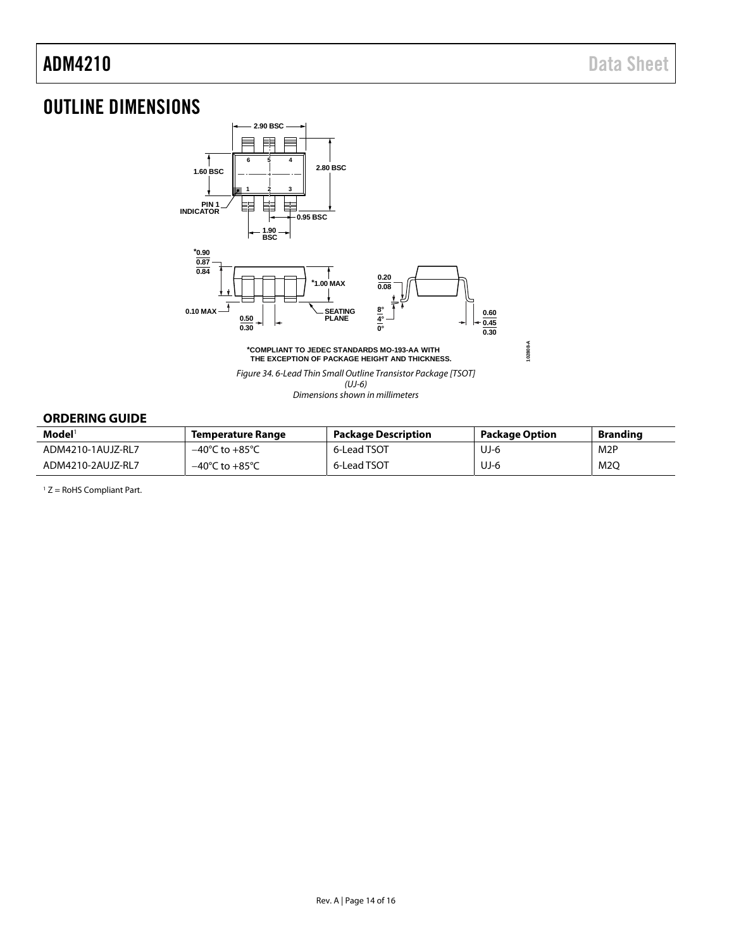**102808-A**

## <span id="page-13-0"></span>OUTLINE DIMENSIONS



**\*COMPLIANT TO JEDEC STANDARDS MO-193-AA WITH THE EXCEPTION OF PACKAGE HEIGHT AND THICKNESS.**

Figure 34. 6-Lead Thin Small Outline Transistor Package [TSOT]

(UJ-6) Dimensions shown in millimeters

### <span id="page-13-1"></span>**ORDERING GUIDE**

| Model <sup>1</sup> | Temperature Range                  | <b>Package Description</b> | <b>Package Option</b> | <b>Branding</b>  |
|--------------------|------------------------------------|----------------------------|-----------------------|------------------|
| ADM4210-1AUJZ-RL7  | $-40^{\circ}$ C to $+85^{\circ}$ C | 6-Lead TSOT                | UJ-6                  | M <sub>2</sub> P |
| ADM4210-2AUJZ-RL7  | $-40^{\circ}$ C to $+85^{\circ}$ C | 6-Lead TSOT                | UJ-6                  | M2O              |

1 Z = RoHS Compliant Part.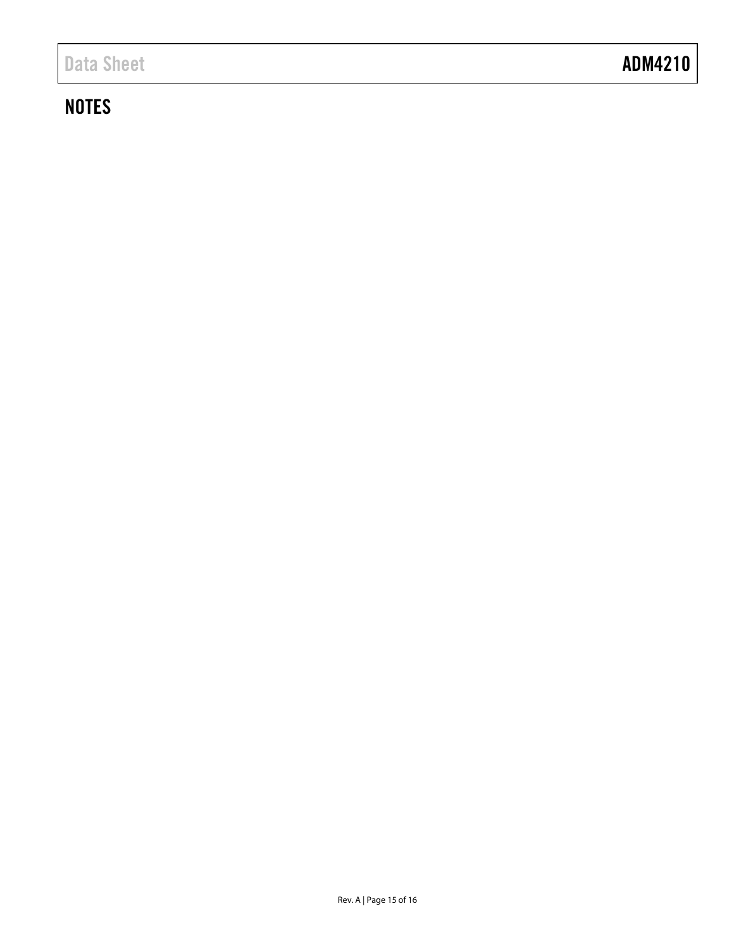## **NOTES**